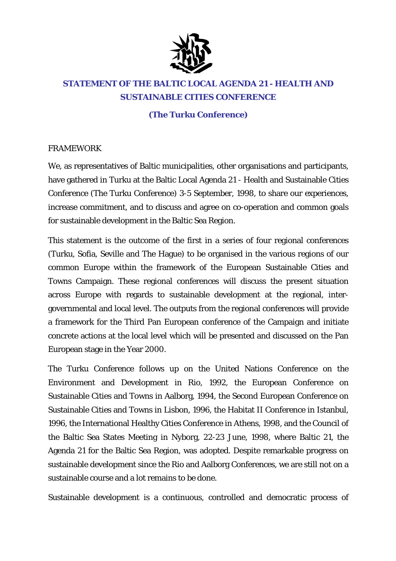

# **STATEMENT OF THE BALTIC LOCAL AGENDA 21 - HEALTH AND SUSTAINABLE CITIES CONFERENCE**

## **(The Turku Conference)**

### FRAMEWORK

We, as representatives of Baltic municipalities, other organisations and participants, have gathered in Turku at the Baltic Local Agenda 21 - Health and Sustainable Cities Conference (The Turku Conference) 3-5 September, 1998, to share our experiences, increase commitment, and to discuss and agree on co-operation and common goals for sustainable development in the Baltic Sea Region.

This statement is the outcome of the first in a series of four regional conferences (Turku, Sofia, Seville and The Hague) to be organised in the various regions of our common Europe within the framework of the European Sustainable Cities and Towns Campaign. These regional conferences will discuss the present situation across Europe with regards to sustainable development at the regional, intergovernmental and local level. The outputs from the regional conferences will provide a framework for the Third Pan European conference of the Campaign and initiate concrete actions at the local level which will be presented and discussed on the Pan European stage in the Year 2000.

The Turku Conference follows up on the United Nations Conference on the Environment and Development in Rio, 1992, the European Conference on Sustainable Cities and Towns in Aalborg, 1994, the Second European Conference on Sustainable Cities and Towns in Lisbon, 1996, the Habitat II Conference in Istanbul, 1996, the International Healthy Cities Conference in Athens, 1998, and the Council of the Baltic Sea States Meeting in Nyborg, 22-23 June, 1998, where Baltic 21, the Agenda 21 for the Baltic Sea Region, was adopted. Despite remarkable progress on sustainable development since the Rio and Aalborg Conferences, we are still not on a sustainable course and a lot remains to be done.

Sustainable development is a continuous, controlled and democratic process of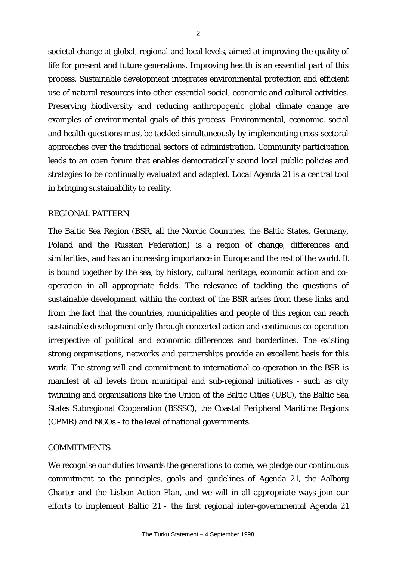societal change at global, regional and local levels, aimed at improving the quality of life for present and future generations. Improving health is an essential part of this process. Sustainable development integrates environmental protection and efficient use of natural resources into other essential social, economic and cultural activities. Preserving biodiversity and reducing anthropogenic global climate change are examples of environmental goals of this process. Environmental, economic, social and health questions must be tackled simultaneously by implementing cross-sectoral approaches over the traditional sectors of administration. Community participation leads to an open forum that enables democratically sound local public policies and strategies to be continually evaluated and adapted. Local Agenda 21 is a central tool in bringing sustainability to reality.

#### REGIONAL PATTERN

The Baltic Sea Region (BSR, all the Nordic Countries, the Baltic States, Germany, Poland and the Russian Federation) is a region of change, differences and similarities, and has an increasing importance in Europe and the rest of the world. It is bound together by the sea, by history, cultural heritage, economic action and cooperation in all appropriate fields. The relevance of tackling the questions of sustainable development within the context of the BSR arises from these links and from the fact that the countries, municipalities and people of this region can reach sustainable development only through concerted action and continuous co-operation irrespective of political and economic differences and borderlines. The existing strong organisations, networks and partnerships provide an excellent basis for this work. The strong will and commitment to international co-operation in the BSR is manifest at all levels from municipal and sub-regional initiatives - such as city twinning and organisations like the Union of the Baltic Cities (UBC), the Baltic Sea States Subregional Cooperation (BSSSC), the Coastal Peripheral Maritime Regions (CPMR) and NGOs - to the level of national governments.

#### COMMITMENTS

We recognise our duties towards the generations to come, we pledge our continuous commitment to the principles, goals and guidelines of Agenda 21, the Aalborg Charter and the Lisbon Action Plan, and we will in all appropriate ways join our efforts to implement Baltic 21 - the first regional inter-governmental Agenda 21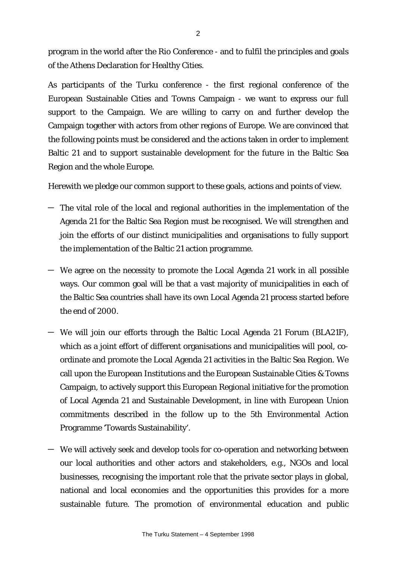program in the world after the Rio Conference - and to fulfil the principles and goals of the Athens Declaration for Healthy Cities.

As participants of the Turku conference - the first regional conference of the European Sustainable Cities and Towns Campaign - we want to express our full support to the Campaign. We are willing to carry on and further develop the Campaign together with actors from other regions of Europe. We are convinced that the following points must be considered and the actions taken in order to implement Baltic 21 and to support sustainable development for the future in the Baltic Sea Region and the whole Europe.

Herewith we pledge our common support to these goals, actions and points of view.

- The vital role of the local and regional authorities in the implementation of the Agenda 21 for the Baltic Sea Region must be recognised. We will strengthen and join the efforts of our distinct municipalities and organisations to fully support the implementation of the Baltic 21 action programme.
- We agree on the necessity to promote the Local Agenda 21 work in all possible ways. Our common goal will be that a vast majority of municipalities in each of the Baltic Sea countries shall have its own Local Agenda 21 process started before the end of 2000.
- We will join our efforts through the Baltic Local Agenda 21 Forum (BLA21F), which as a joint effort of different organisations and municipalities will pool, coordinate and promote the Local Agenda 21 activities in the Baltic Sea Region. We call upon the European Institutions and the European Sustainable Cities & Towns Campaign, to actively support this European Regional initiative for the promotion of Local Agenda 21 and Sustainable Development, in line with European Union commitments described in the follow up to the 5th Environmental Action Programme 'Towards Sustainability'.
- We will actively seek and develop tools for co-operation and networking between our local authorities and other actors and stakeholders, e.g., NGOs and local businesses, recognising the important role that the private sector plays in global, national and local economies and the opportunities this provides for a more sustainable future. The promotion of environmental education and public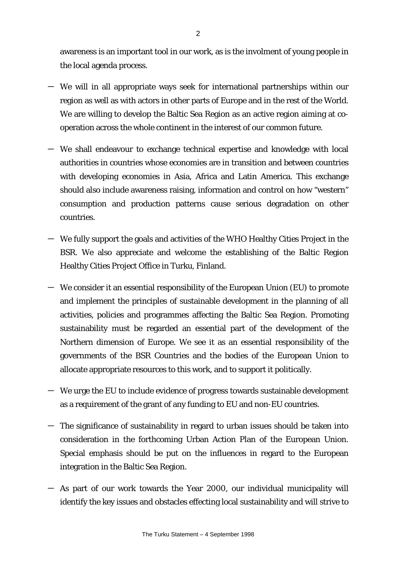awareness is an important tool in our work, as is the involment of young people in the local agenda process.

- We will in all appropriate ways seek for international partnerships within our region as well as with actors in other parts of Europe and in the rest of the World. We are willing to develop the Baltic Sea Region as an active region aiming at cooperation across the whole continent in the interest of our common future.
- We shall endeavour to exchange technical expertise and knowledge with local authorities in countries whose economies are in transition and between countries with developing economies in Asia, Africa and Latin America. This exchange should also include awareness raising, information and control on how "western" consumption and production patterns cause serious degradation on other countries.
- We fully support the goals and activities of the WHO Healthy Cities Project in the BSR. We also appreciate and welcome the establishing of the Baltic Region Healthy Cities Project Office in Turku, Finland.
- We consider it an essential responsibility of the European Union (EU) to promote and implement the principles of sustainable development in the planning of all activities, policies and programmes affecting the Baltic Sea Region. Promoting sustainability must be regarded an essential part of the development of the Northern dimension of Europe. We see it as an essential responsibility of the governments of the BSR Countries and the bodies of the European Union to allocate appropriate resources to this work, and to support it politically.
- We urge the EU to include evidence of progress towards sustainable development as a requirement of the grant of any funding to EU and non-EU countries.
- The significance of sustainability in regard to urban issues should be taken into consideration in the forthcoming Urban Action Plan of the European Union. Special emphasis should be put on the influences in regard to the European integration in the Baltic Sea Region.
- As part of our work towards the Year 2000, our individual municipality will identify the key issues and obstacles effecting local sustainability and will strive to